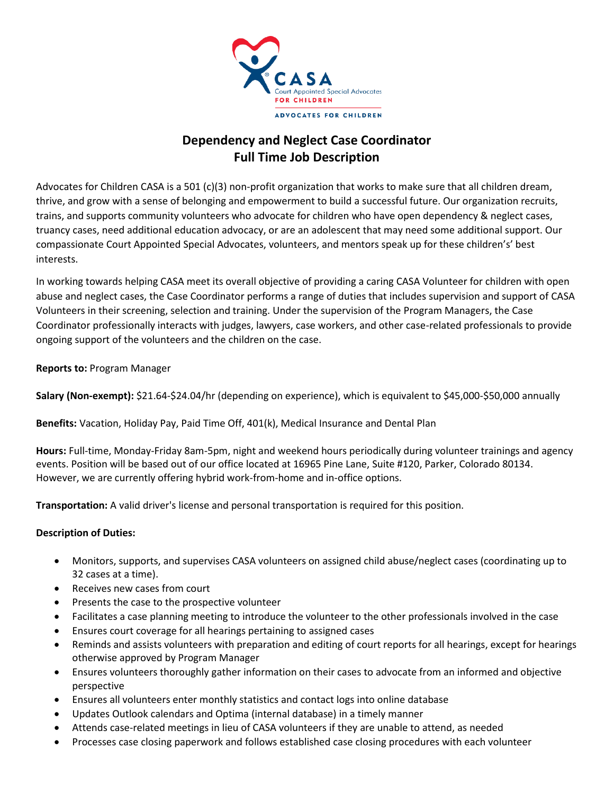

# **Dependency and Neglect Case Coordinator Full Time Job Description**

Advocates for Children CASA is a 501 (c)(3) non-profit organization that works to make sure that all children dream, thrive, and grow with a sense of belonging and empowerment to build a successful future. Our organization recruits, trains, and supports community volunteers who advocate for children who have open dependency & neglect cases, truancy cases, need additional education advocacy, or are an adolescent that may need some additional support. Our compassionate Court Appointed Special Advocates, volunteers, and mentors speak up for these children's' best interests.

In working towards helping CASA meet its overall objective of providing a caring CASA Volunteer for children with open abuse and neglect cases, the Case Coordinator performs a range of duties that includes supervision and support of CASA Volunteers in their screening, selection and training. Under the supervision of the Program Managers, the Case Coordinator professionally interacts with judges, lawyers, case workers, and other case-related professionals to provide ongoing support of the volunteers and the children on the case.

**Reports to:** Program Manager

**Salary (Non-exempt):** \$21.64-\$24.04/hr (depending on experience), which is equivalent to \$45,000-\$50,000 annually

**Benefits:** Vacation, Holiday Pay, Paid Time Off, 401(k), Medical Insurance and Dental Plan

**Hours:** Full-time, Monday-Friday 8am-5pm, night and weekend hours periodically during volunteer trainings and agency events. Position will be based out of our office located at 16965 Pine Lane, Suite #120, Parker, Colorado 80134. However, we are currently offering hybrid work-from-home and in-office options.

**Transportation:** A valid driver's license and personal transportation is required for this position.

## **Description of Duties:**

- Monitors, supports, and supervises CASA volunteers on assigned child abuse/neglect cases (coordinating up to 32 cases at a time).
- Receives new cases from court
- Presents the case to the prospective volunteer
- Facilitates a case planning meeting to introduce the volunteer to the other professionals involved in the case
- Ensures court coverage for all hearings pertaining to assigned cases
- Reminds and assists volunteers with preparation and editing of court reports for all hearings, except for hearings otherwise approved by Program Manager
- Ensures volunteers thoroughly gather information on their cases to advocate from an informed and objective perspective
- Ensures all volunteers enter monthly statistics and contact logs into online database
- Updates Outlook calendars and Optima (internal database) in a timely manner
- Attends case-related meetings in lieu of CASA volunteers if they are unable to attend, as needed
- Processes case closing paperwork and follows established case closing procedures with each volunteer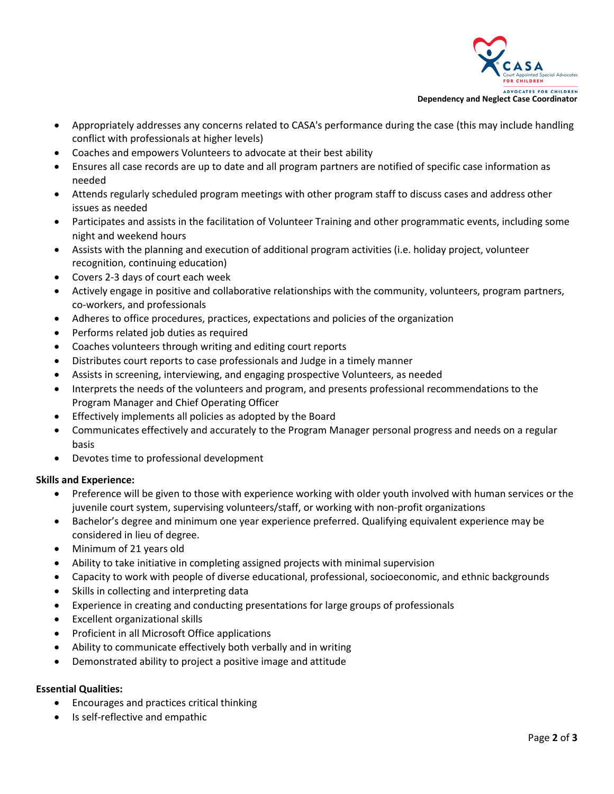

- Appropriately addresses any concerns related to CASA's performance during the case (this may include handling conflict with professionals at higher levels)
- Coaches and empowers Volunteers to advocate at their best ability
- Ensures all case records are up to date and all program partners are notified of specific case information as needed
- Attends regularly scheduled program meetings with other program staff to discuss cases and address other issues as needed
- Participates and assists in the facilitation of Volunteer Training and other programmatic events, including some night and weekend hours
- Assists with the planning and execution of additional program activities (i.e. holiday project, volunteer recognition, continuing education)
- Covers 2-3 days of court each week
- Actively engage in positive and collaborative relationships with the community, volunteers, program partners, co-workers, and professionals
- Adheres to office procedures, practices, expectations and policies of the organization
- Performs related job duties as required
- Coaches volunteers through writing and editing court reports
- Distributes court reports to case professionals and Judge in a timely manner
- Assists in screening, interviewing, and engaging prospective Volunteers, as needed
- Interprets the needs of the volunteers and program, and presents professional recommendations to the Program Manager and Chief Operating Officer
- Effectively implements all policies as adopted by the Board
- Communicates effectively and accurately to the Program Manager personal progress and needs on a regular basis
- Devotes time to professional development

#### **Skills and Experience:**

- Preference will be given to those with experience working with older youth involved with human services or the juvenile court system, supervising volunteers/staff, or working with non-profit organizations
- Bachelor's degree and minimum one year experience preferred. Qualifying equivalent experience may be considered in lieu of degree.
- Minimum of 21 years old
- Ability to take initiative in completing assigned projects with minimal supervision
- Capacity to work with people of diverse educational, professional, socioeconomic, and ethnic backgrounds
- Skills in collecting and interpreting data
- Experience in creating and conducting presentations for large groups of professionals
- Excellent organizational skills
- Proficient in all Microsoft Office applications
- Ability to communicate effectively both verbally and in writing
- Demonstrated ability to project a positive image and attitude

#### **Essential Qualities:**

- Encourages and practices critical thinking
- Is self-reflective and empathic